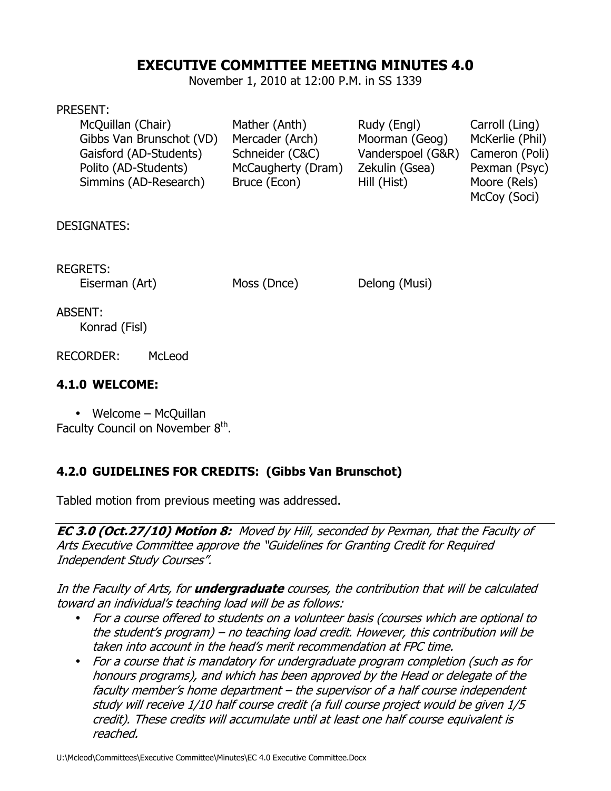# **EXECUTIVE COMMITTEE MEETING MINUTES 4.0**

November 1, 2010 at 12:00 P.M. in SS 1339

#### PRESENT:

| McQuillan (Chair)        | Mather (Anth)      | Rudy (Engl)       | Carroll (Ling)  |
|--------------------------|--------------------|-------------------|-----------------|
| Gibbs Van Brunschot (VD) | Mercader (Arch)    | Moorman (Geog)    | McKerlie (Phil) |
| Gaisford (AD-Students)   | Schneider (C&C)    | Vanderspoel (G&R) | Cameron (Poli)  |
| Polito (AD-Students)     | McCaugherty (Dram) | Zekulin (Gsea)    | Pexman (Psyc)   |
| Simmins (AD-Research)    | Bruce (Econ)       | Hill (Hist)       | Moore (Rels)    |
|                          |                    |                   | McCoy (Soci)    |

DESIGNATES:

REGRETS:

Eiserman (Art) Moss (Dnce) Delong (Musi)

ABSENT: Konrad (Fisl)

RECORDER: McLeod

### **4.1.0 WELCOME:**

• Welcome – McQuillan Faculty Council on November 8<sup>th</sup>.

## **4.2.0 GUIDELINES FOR CREDITS: (Gibbs Van Brunschot)**

Tabled motion from previous meeting was addressed.

**EC 3.0 (Oct.27/10) Motion 8:** Moved by Hill, seconded by Pexman, that the Faculty of Arts Executive Committee approve the "Guidelines for Granting Credit for Required Independent Study Courses".

In the Faculty of Arts, for **undergraduate** courses, the contribution that will be calculated toward an individual's teaching load will be as follows:

- For a course offered to students on a volunteer basis (courses which are optional to the student's program) – no teaching load credit. However, this contribution will be taken into account in the head's merit recommendation at FPC time.
- For a course that is mandatory for undergraduate program completion (such as for honours programs), and which has been approved by the Head or delegate of the faculty member's home department – the supervisor of a half course independent study will receive 1/10 half course credit (a full course project would be given 1/5 credit). These credits will accumulate until at least one half course equivalent is reached.